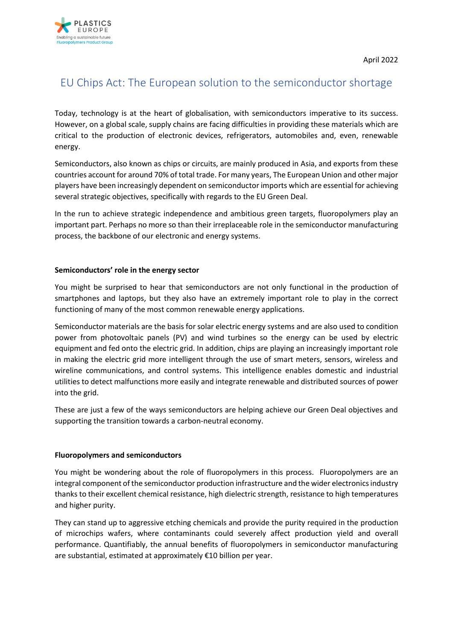

# EU Chips Act: The European solution to the semiconductor shortage

Today, technology is at the heart of globalisation, with semiconductors imperative to its success. However, on a global scale, supply chains are facing difficulties in providing these materials which are critical to the production of electronic devices, refrigerators, automobiles and, even, renewable energy.

Semiconductors, also known as chips or circuits, are mainly produced in Asia, and exports from these countries account for around 70% of total trade. For many years, The European Union and other major players have been increasingly dependent on semiconductor imports which are essential for achieving several strategic objectives, specifically with regards to the EU Green Deal.

In the run to achieve strategic independence and ambitious green targets, fluoropolymers play an important part. Perhaps no more so than their irreplaceable role in the semiconductor manufacturing process, the backbone of our electronic and energy systems.

#### **Semiconductors' role in the energy sector**

You might be surprised to hear that semiconductors are not only functional in the production of smartphones and laptops, but they also have an extremely important role to play in the correct functioning of many of the most common renewable energy applications.

Semiconductor materials are the basis for solar electric energy systems and are also used to condition power from photovoltaic panels (PV) and wind turbines so the energy can be used by electric equipment and fed onto the electric grid. In addition, chips are playing an increasingly important role in making the electric grid more intelligent through the use of smart meters, sensors, wireless and wireline communications, and control systems. This intelligence enables domestic and industrial utilities to detect malfunctions more easily and integrate renewable and distributed sources of power into the grid.

These are just a few of the ways semiconductors are helping achieve our Green Deal objectives and supporting the transition towards a carbon-neutral economy.

## **Fluoropolymers and semiconductors**

You might be wondering about the role of fluoropolymers in this process. Fluoropolymers are an integral component of the semiconductor production infrastructure and the wider electronics industry thanks to their excellent chemical resistance, high dielectric strength, resistance to high temperatures and higher purity.

They can stand up to aggressive etching chemicals and provide the purity required in the production of microchips wafers, where contaminants could severely affect production yield and overall performance. Quantifiably, the annual benefits of fluoropolymers in semiconductor manufacturing are substantial, estimated at approximately €10 billion per year.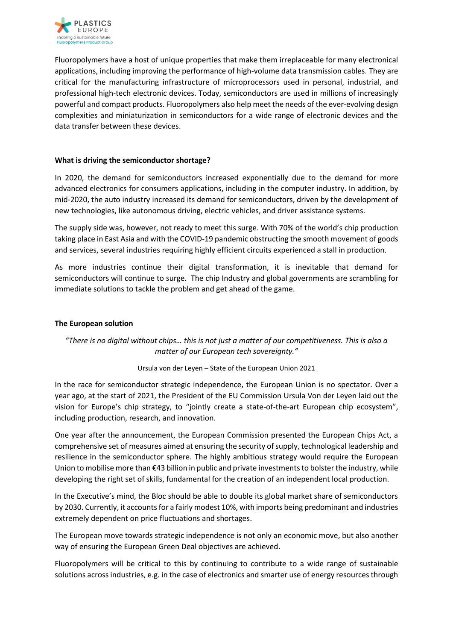

Fluoropolymers have a host of unique properties that make them irreplaceable for many electronical applications, including improving the performance of high-volume data transmission cables. They are critical for the manufacturing infrastructure of microprocessors used in personal, industrial, and professional high-tech electronic devices. Today, semiconductors are used in millions of increasingly powerful and compact products. Fluoropolymers also help meet the needs of the ever-evolving design complexities and miniaturization in semiconductors for a wide range of electronic devices and the data transfer between these devices.

#### **What is driving the semiconductor shortage?**

In 2020, the demand for semiconductors increased exponentially due to the demand for more advanced electronics for consumers applications, including in the computer industry. In addition, by mid-2020, the auto industry increased its demand for semiconductors, driven by the development of new technologies, like autonomous driving, electric vehicles, and driver assistance systems.

The supply side was, however, not ready to meet this surge. With 70% of the world's chip production taking place in East Asia and with the COVID-19 pandemic obstructing the smooth movement of goods and services, several industries requiring highly efficient circuits experienced a stall in production.

As more industries continue their digital transformation, it is inevitable that demand for semiconductors will continue to surge. The chip Industry and global governments are scrambling for immediate solutions to tackle the problem and get ahead of the game.

### **The European solution**

# *"There is no digital without chips… this is not just a matter of our competitiveness. This is also a matter of our European tech sovereignty."*

#### Ursula von der Leyen – State of the European Union 2021

In the race for semiconductor strategic independence, the European Union is no spectator. Over a year ago, at the start of 2021, the President of the EU Commission Ursula Von der Leyen laid out the vision for Europe's chip strategy, to "jointly create a state-of-the-art European chip ecosystem", including production, research, and innovation.

One year after the announcement, the European Commission presented the European Chips Act, a comprehensive set of measures aimed at ensuring the security of supply, technological leadership and resilience in the semiconductor sphere. The highly ambitious strategy would require the European Union to mobilise more than €43 billion in public and private investments to bolster the industry, while developing the right set of skills, fundamental for the creation of an independent local production.

In the Executive's mind, the Bloc should be able to double its global market share of semiconductors by 2030. Currently, it accounts for a fairly modest 10%, with imports being predominant and industries extremely dependent on price fluctuations and shortages.

The European move towards strategic independence is not only an economic move, but also another way of ensuring the European Green Deal objectives are achieved.

Fluoropolymers will be critical to this by continuing to contribute to a wide range of sustainable solutions across industries, e.g. in the case of electronics and smarter use of energy resources through